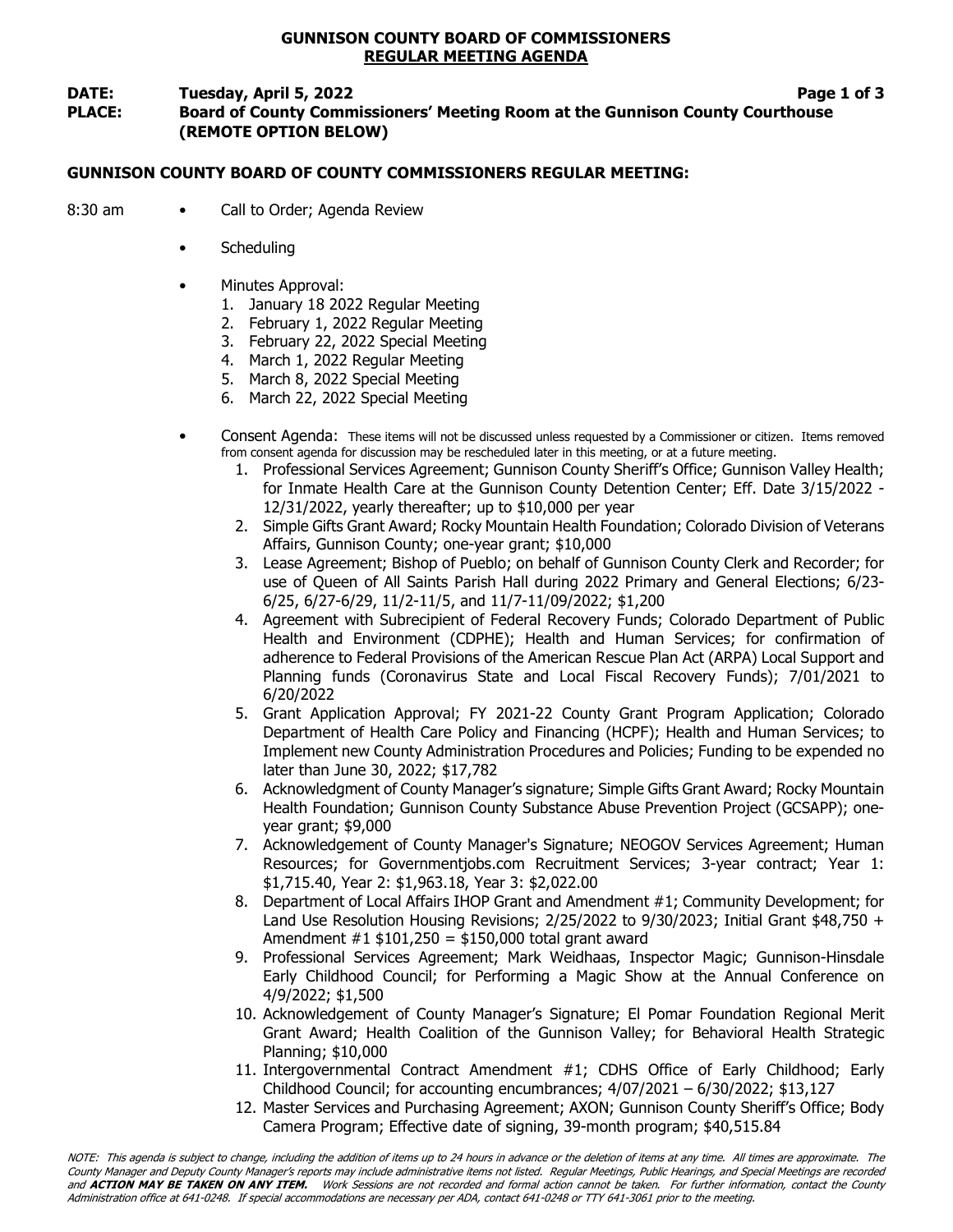# GUNNISON COUNTY BOARD OF COMMISSIONERS REGULAR MEETING AGENDA

# DATE: Tuesday, April 5, 2022 **Page 1 of 3**

PLACE: Board of County Commissioners' Meeting Room at the Gunnison County Courthouse (REMOTE OPTION BELOW)

# GUNNISON COUNTY BOARD OF COUNTY COMMISSIONERS REGULAR MEETING:

- 8:30 am Call to Order; Agenda Review
	- **Scheduling**
	- Minutes Approval:
		- 1. January 18 2022 Regular Meeting
		- 2. February 1, 2022 Regular Meeting
		- 3. February 22, 2022 Special Meeting
		- 4. March 1, 2022 Regular Meeting
		- 5. March 8, 2022 Special Meeting
		- 6. March 22, 2022 Special Meeting
	- Consent Agenda: These items will not be discussed unless requested by a Commissioner or citizen. Items removed from consent agenda for discussion may be rescheduled later in this meeting, or at a future meeting.
		- 1. Professional Services Agreement; Gunnison County Sheriff's Office; Gunnison Valley Health; for Inmate Health Care at the Gunnison County Detention Center; Eff. Date 3/15/2022 - 12/31/2022, yearly thereafter; up to \$10,000 per year
		- 2. Simple Gifts Grant Award; Rocky Mountain Health Foundation; Colorado Division of Veterans Affairs, Gunnison County; one-year grant; \$10,000
		- 3. Lease Agreement; Bishop of Pueblo; on behalf of Gunnison County Clerk and Recorder; for use of Queen of All Saints Parish Hall during 2022 Primary and General Elections; 6/23- 6/25, 6/27-6/29, 11/2-11/5, and 11/7-11/09/2022; \$1,200
		- 4. Agreement with Subrecipient of Federal Recovery Funds; Colorado Department of Public Health and Environment (CDPHE); Health and Human Services; for confirmation of adherence to Federal Provisions of the American Rescue Plan Act (ARPA) Local Support and Planning funds (Coronavirus State and Local Fiscal Recovery Funds); 7/01/2021 to 6/20/2022
		- 5. Grant Application Approval; FY 2021-22 County Grant Program Application; Colorado Department of Health Care Policy and Financing (HCPF); Health and Human Services; to Implement new County Administration Procedures and Policies; Funding to be expended no later than June 30, 2022; \$17,782
		- 6. Acknowledgment of County Manager's signature; Simple Gifts Grant Award; Rocky Mountain Health Foundation; Gunnison County Substance Abuse Prevention Project (GCSAPP); oneyear grant; \$9,000
		- 7. Acknowledgement of County Manager's Signature; NEOGOV Services Agreement; Human Resources; for Governmentjobs.com Recruitment Services; 3-year contract; Year 1: \$1,715.40, Year 2: \$1,963.18, Year 3: \$2,022.00
		- 8. Department of Local Affairs IHOP Grant and Amendment #1; Community Development; for Land Use Resolution Housing Revisions;  $2/25/2022$  to  $9/30/2023$ ; Initial Grant \$48,750 + Amendment #1 \$101,250 = \$150,000 total grant award
		- 9. Professional Services Agreement; Mark Weidhaas, Inspector Magic; Gunnison-Hinsdale Early Childhood Council; for Performing a Magic Show at the Annual Conference on 4/9/2022; \$1,500
		- 10. Acknowledgement of County Manager's Signature; El Pomar Foundation Regional Merit Grant Award; Health Coalition of the Gunnison Valley; for Behavioral Health Strategic Planning; \$10,000
		- 11. Intergovernmental Contract Amendment #1; CDHS Office of Early Childhood; Early Childhood Council; for accounting encumbrances;  $4/07/2021 - 6/30/2022$ ; \$13,127
		- 12. Master Services and Purchasing Agreement; AXON; Gunnison County Sheriff's Office; Body Camera Program; Effective date of signing, 39-month program; \$40,515.84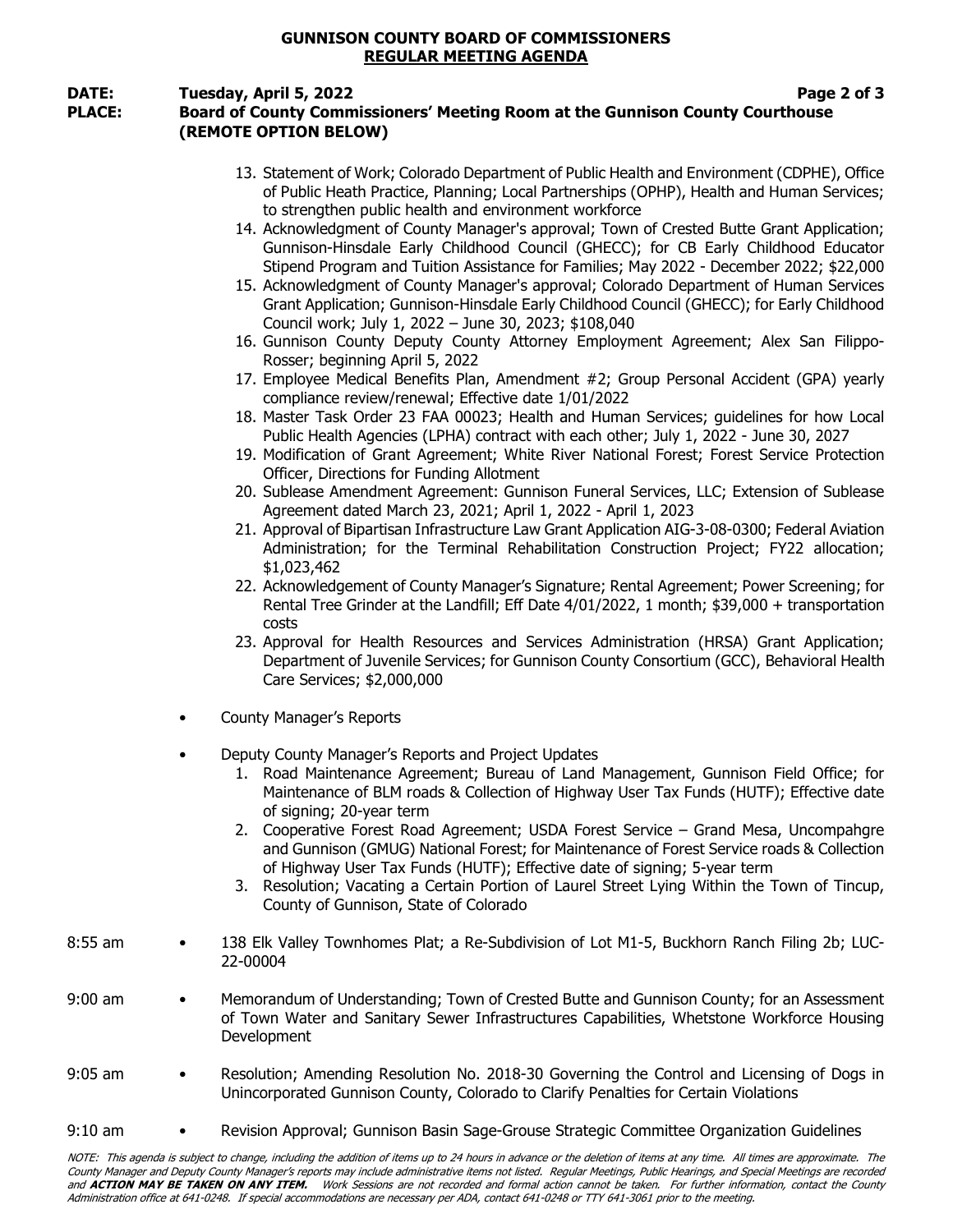# GUNNISON COUNTY BOARD OF COMMISSIONERS REGULAR MEETING AGENDA

## DATE: Tuesday, April 5, 2022 **Page 2 of 3**

# PLACE: Board of County Commissioners' Meeting Room at the Gunnison County Courthouse (REMOTE OPTION BELOW)

- 13. Statement of Work; Colorado Department of Public Health and Environment (CDPHE), Office of Public Heath Practice, Planning; Local Partnerships (OPHP), Health and Human Services; to strengthen public health and environment workforce
- 14. Acknowledgment of County Manager's approval; Town of Crested Butte Grant Application; Gunnison-Hinsdale Early Childhood Council (GHECC); for CB Early Childhood Educator Stipend Program and Tuition Assistance for Families; May 2022 - December 2022; \$22,000
- 15. Acknowledgment of County Manager's approval; Colorado Department of Human Services Grant Application; Gunnison-Hinsdale Early Childhood Council (GHECC); for Early Childhood Council work; July 1, 2022 – June 30, 2023; \$108,040
- 16. Gunnison County Deputy County Attorney Employment Agreement; Alex San Filippo-Rosser; beginning April 5, 2022
- 17. Employee Medical Benefits Plan, Amendment #2; Group Personal Accident (GPA) yearly compliance review/renewal; Effective date 1/01/2022
- 18. Master Task Order 23 FAA 00023; Health and Human Services; guidelines for how Local Public Health Agencies (LPHA) contract with each other; July 1, 2022 - June 30, 2027
- 19. Modification of Grant Agreement; White River National Forest; Forest Service Protection Officer, Directions for Funding Allotment
- 20. Sublease Amendment Agreement: Gunnison Funeral Services, LLC; Extension of Sublease Agreement dated March 23, 2021; April 1, 2022 - April 1, 2023
- 21. Approval of Bipartisan Infrastructure Law Grant Application AIG-3-08-0300; Federal Aviation Administration; for the Terminal Rehabilitation Construction Project; FY22 allocation; \$1,023,462
- 22. Acknowledgement of County Manager's Signature; Rental Agreement; Power Screening; for Rental Tree Grinder at the Landfill; Eff Date 4/01/2022, 1 month; \$39,000 + transportation costs
- 23. Approval for Health Resources and Services Administration (HRSA) Grant Application; Department of Juvenile Services; for Gunnison County Consortium (GCC), Behavioral Health Care Services; \$2,000,000
- County Manager's Reports
- Deputy County Manager's Reports and Project Updates
	- 1. Road Maintenance Agreement; Bureau of Land Management, Gunnison Field Office; for Maintenance of BLM roads & Collection of Highway User Tax Funds (HUTF); Effective date of signing; 20-year term
	- 2. Cooperative Forest Road Agreement; USDA Forest Service Grand Mesa, Uncompahgre and Gunnison (GMUG) National Forest; for Maintenance of Forest Service roads & Collection of Highway User Tax Funds (HUTF); Effective date of signing; 5-year term
	- 3. Resolution; Vacating a Certain Portion of Laurel Street Lying Within the Town of Tincup, County of Gunnison, State of Colorado
- 8:55 am 138 Elk Valley Townhomes Plat; a Re-Subdivision of Lot M1-5, Buckhorn Ranch Filing 2b; LUC-22-00004
- 9:00 am Memorandum of Understanding; Town of Crested Butte and Gunnison County; for an Assessment of Town Water and Sanitary Sewer Infrastructures Capabilities, Whetstone Workforce Housing Development
- 9:05 am Resolution; Amending Resolution No. 2018-30 Governing the Control and Licensing of Dogs in Unincorporated Gunnison County, Colorado to Clarify Penalties for Certain Violations
- 9:10 am Revision Approval; Gunnison Basin Sage-Grouse Strategic Committee Organization Guidelines